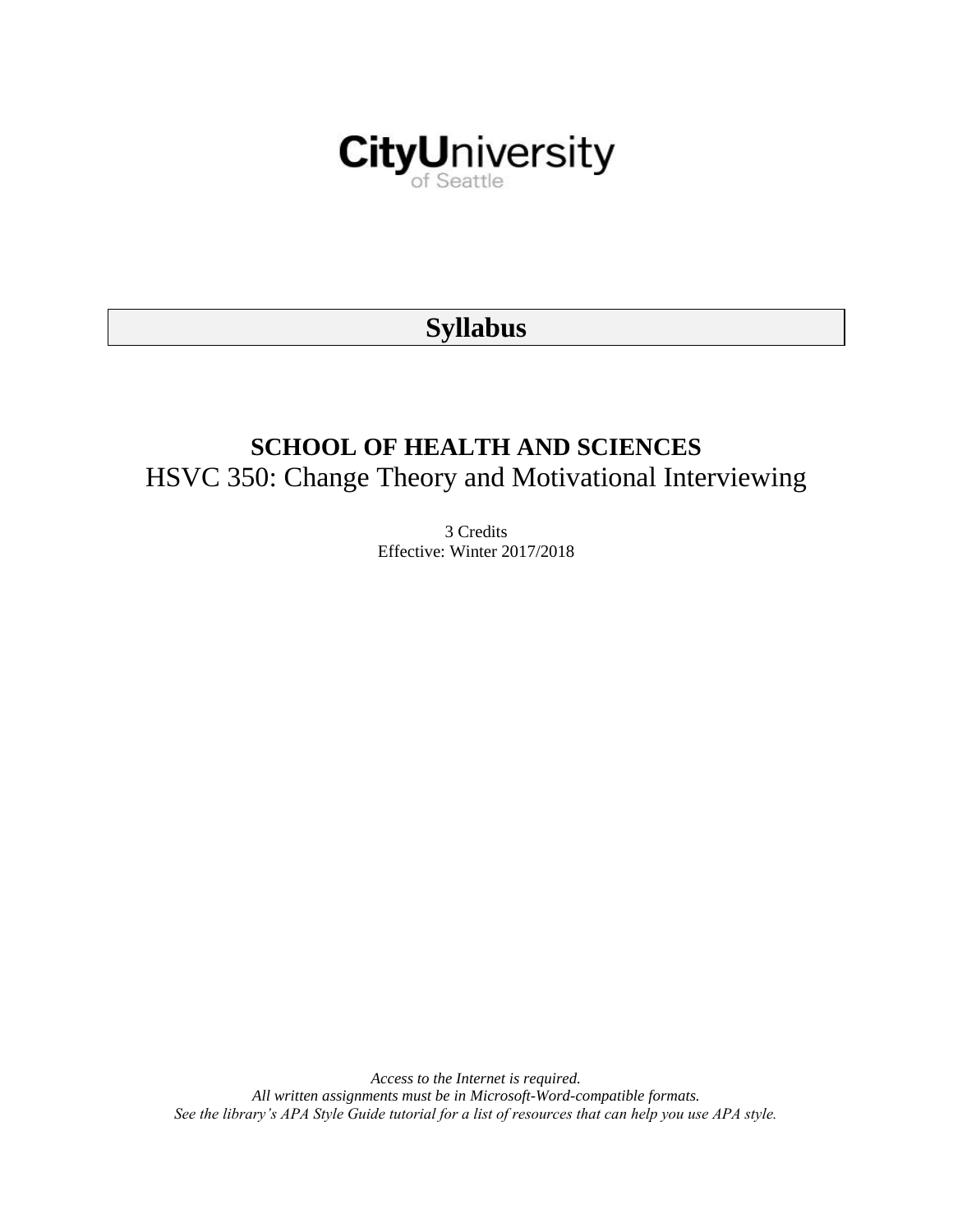

# **Syllabus**

# **SCHOOL OF HEALTH AND SCIENCES** HSVC 350: Change Theory and Motivational Interviewing

3 Credits Effective: Winter 2017/2018

*Access to the Internet is required. All written assignments must be in Microsoft-Word-compatible formats. See the library's APA Style Guide tutorial for a list of resources that can help you use APA style.*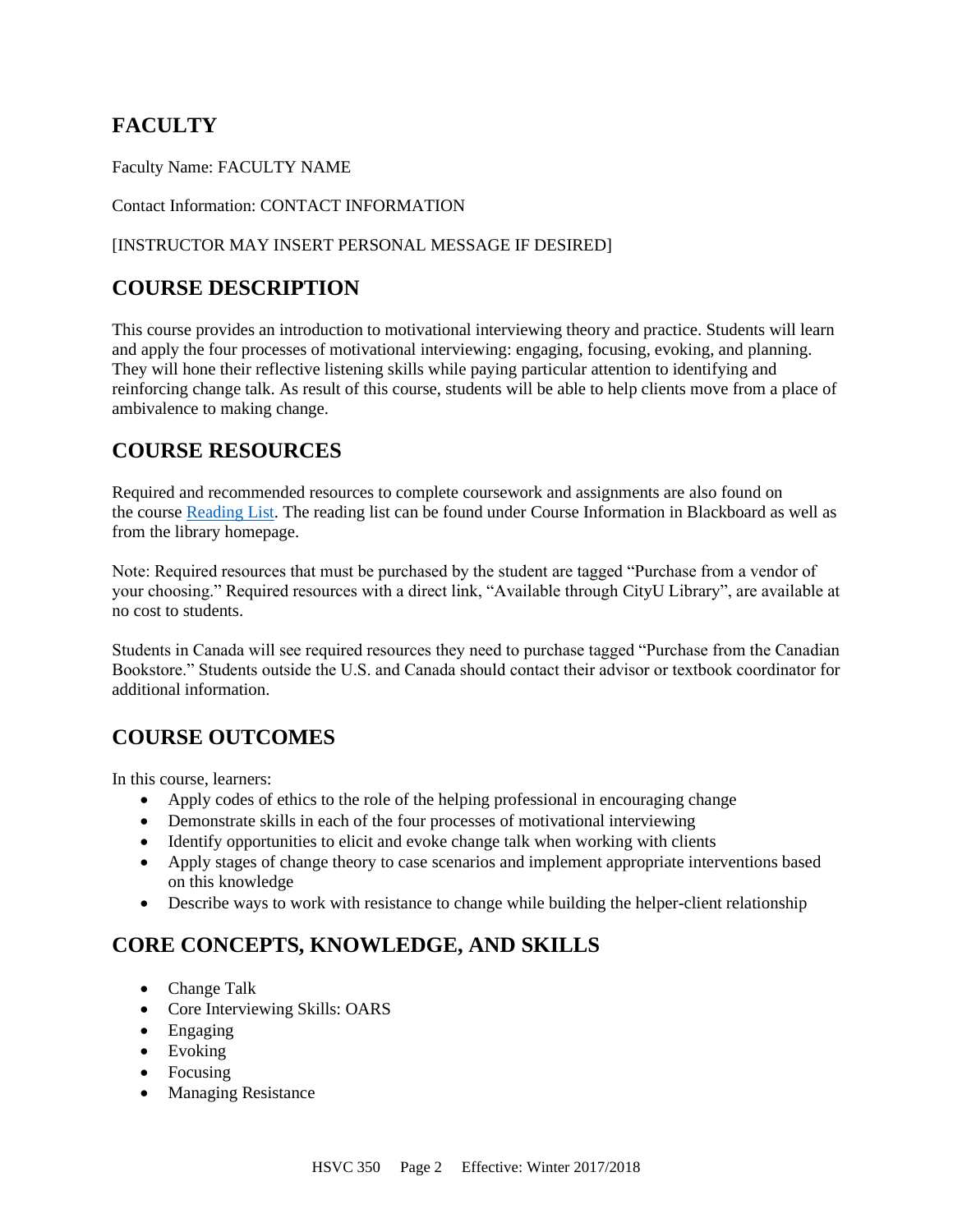# **FACULTY**

Faculty Name: FACULTY NAME

#### Contact Information: CONTACT INFORMATION

#### [INSTRUCTOR MAY INSERT PERSONAL MESSAGE IF DESIRED]

## **COURSE DESCRIPTION**

This course provides an introduction to motivational interviewing theory and practice. Students will learn and apply the four processes of motivational interviewing: engaging, focusing, evoking, and planning. They will hone their reflective listening skills while paying particular attention to identifying and reinforcing change talk. As result of this course, students will be able to help clients move from a place of ambivalence to making change.

# **COURSE RESOURCES**

Required and recommended resources to complete coursework and assignments are also found on the course [Reading List.](https://nam03.safelinks.protection.outlook.com/?url=https%3A%2F%2Fcityu.alma.exlibrisgroup.com%2Fleganto%2Flogin%3Fauth%3DSAML&data=04%7C01%7CMMara%40cityu.edu%7C70673ce0fe0144040eda08d87472e204%7Cb3fa96d9f5154662add763d854e39e63%7C1%7C0%7C637387384066198115%7CUnknown%7CTWFpbGZsb3d8eyJWIjoiMC4wLjAwMDAiLCJQIjoiV2luMzIiLCJBTiI6Ik1haWwiLCJXVCI6Mn0%3D%7C1000&sdata=JbwP%2Fm5Q%2BMgIUWa%2FXceos%2BoiLv0DX%2B%2FL%2BNGNMbX9P8E%3D&reserved=0) The reading list can be found under Course Information in Blackboard as well as from the library homepage.

Note: Required resources that must be purchased by the student are tagged "Purchase from a vendor of your choosing." Required resources with a direct link, "Available through CityU Library", are available at no cost to students.

Students in Canada will see required resources they need to purchase tagged "Purchase from the Canadian Bookstore." Students outside the U.S. and Canada should contact their advisor or textbook coordinator for additional information.

# **COURSE OUTCOMES**

In this course, learners:

- Apply codes of ethics to the role of the helping professional in encouraging change
- Demonstrate skills in each of the four processes of motivational interviewing
- Identify opportunities to elicit and evoke change talk when working with clients
- Apply stages of change theory to case scenarios and implement appropriate interventions based on this knowledge
- Describe ways to work with resistance to change while building the helper-client relationship

# **CORE CONCEPTS, KNOWLEDGE, AND SKILLS**

- Change Talk
- Core Interviewing Skills: OARS
- Engaging
- Evoking
- Focusing
- Managing Resistance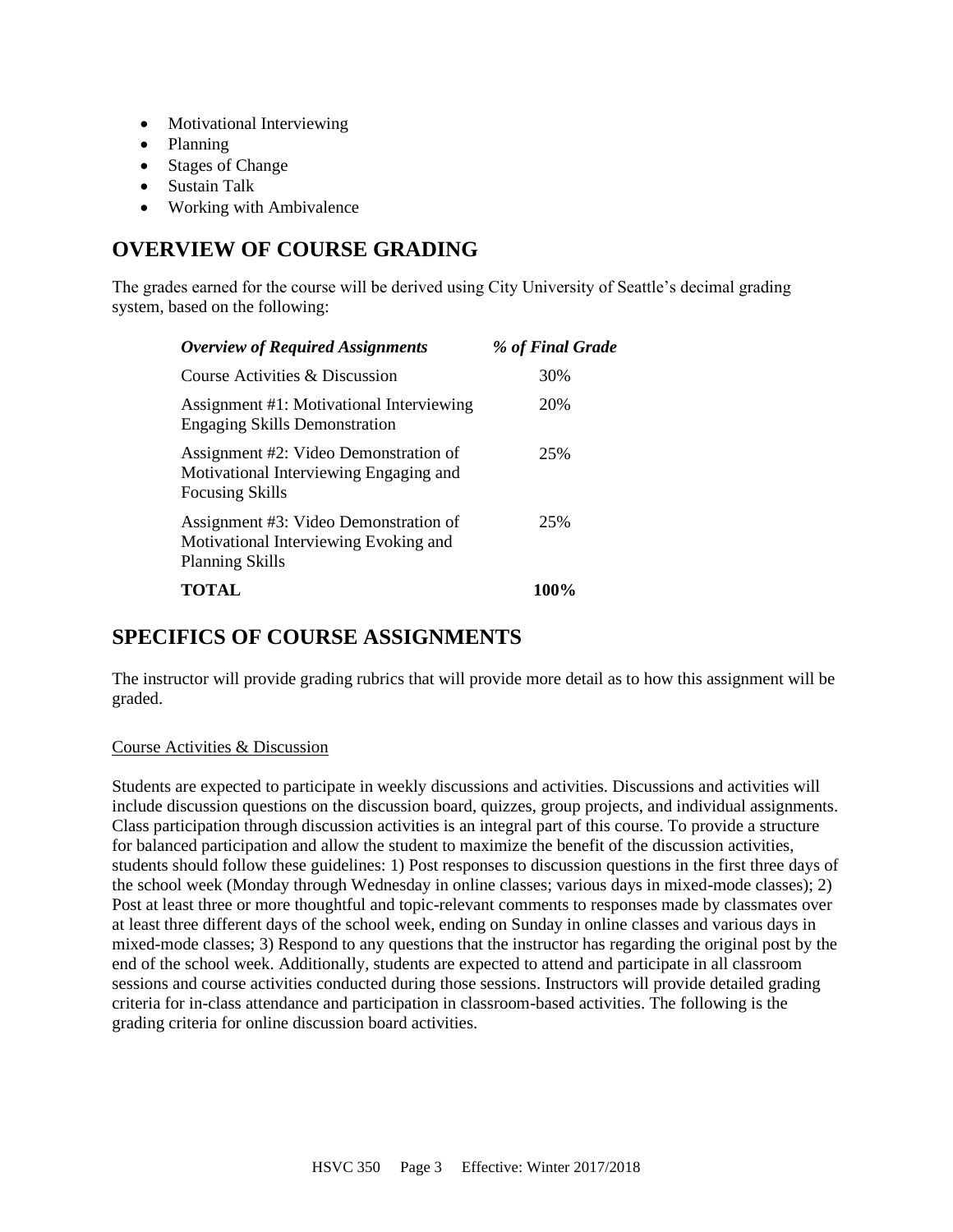- Motivational Interviewing
- Planning
- Stages of Change
- Sustain Talk
- Working with Ambivalence

# **OVERVIEW OF COURSE GRADING**

The grades earned for the course will be derived using City University of Seattle's decimal grading system, based on the following:

| <b>Overview of Required Assignments</b>                                                                   | % of Final Grade |
|-----------------------------------------------------------------------------------------------------------|------------------|
| Course Activities & Discussion                                                                            | 30%              |
| Assignment #1: Motivational Interviewing<br><b>Engaging Skills Demonstration</b>                          | 20%              |
| Assignment #2: Video Demonstration of<br>Motivational Interviewing Engaging and<br><b>Focusing Skills</b> | 25%              |
| Assignment #3: Video Demonstration of<br>Motivational Interviewing Evoking and<br><b>Planning Skills</b>  | 25%              |
| TOTAL                                                                                                     | 100%             |

# **SPECIFICS OF COURSE ASSIGNMENTS**

The instructor will provide grading rubrics that will provide more detail as to how this assignment will be graded.

#### Course Activities & Discussion

Students are expected to participate in weekly discussions and activities. Discussions and activities will include discussion questions on the discussion board, quizzes, group projects, and individual assignments. Class participation through discussion activities is an integral part of this course. To provide a structure for balanced participation and allow the student to maximize the benefit of the discussion activities, students should follow these guidelines: 1) Post responses to discussion questions in the first three days of the school week (Monday through Wednesday in online classes; various days in mixed-mode classes); 2) Post at least three or more thoughtful and topic-relevant comments to responses made by classmates over at least three different days of the school week, ending on Sunday in online classes and various days in mixed-mode classes; 3) Respond to any questions that the instructor has regarding the original post by the end of the school week. Additionally, students are expected to attend and participate in all classroom sessions and course activities conducted during those sessions. Instructors will provide detailed grading criteria for in-class attendance and participation in classroom-based activities. The following is the grading criteria for online discussion board activities.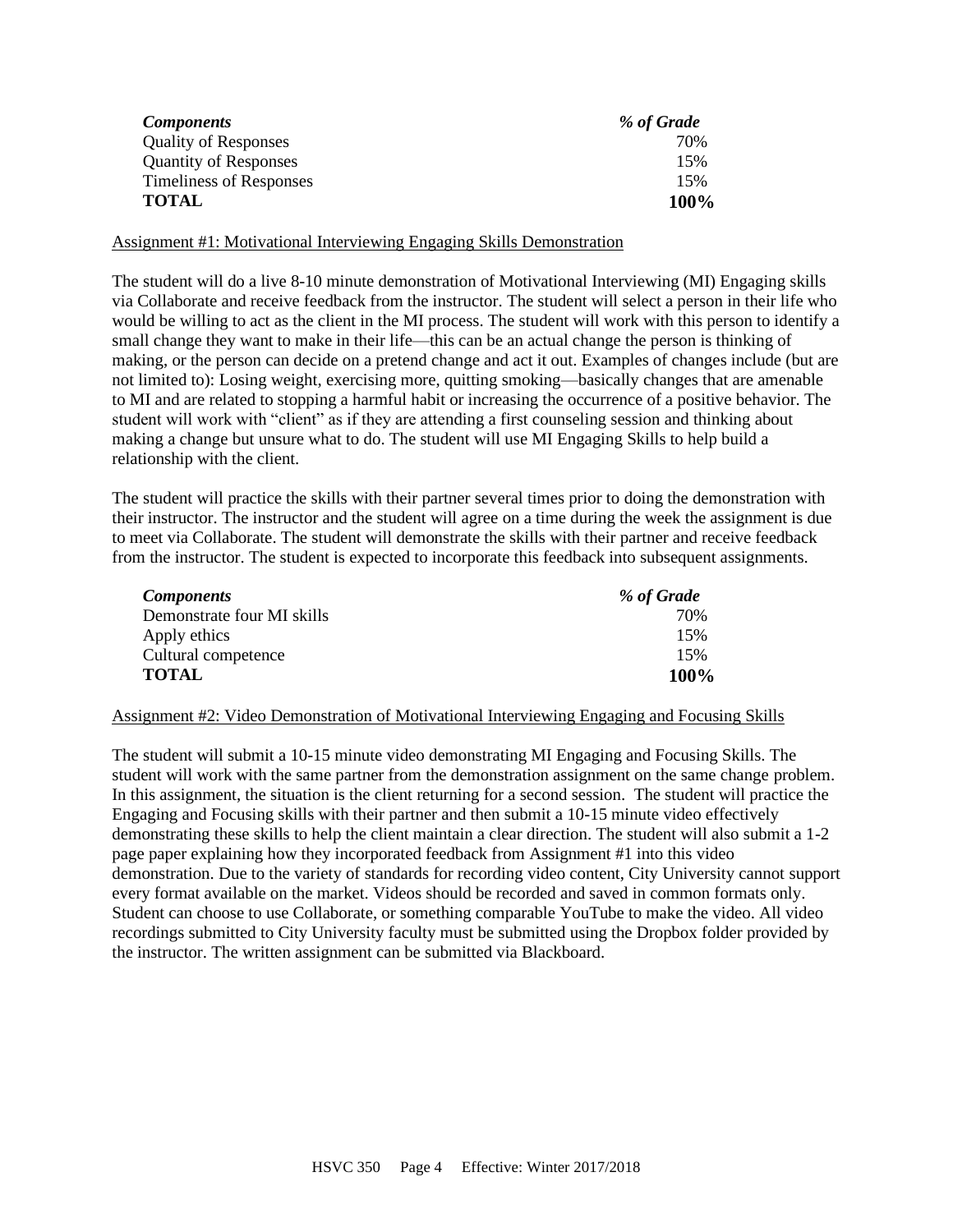| <i>Components</i>            | % of Grade |
|------------------------------|------------|
| <b>Quality of Responses</b>  | 70%        |
| <b>Quantity of Responses</b> | 15%        |
| Timeliness of Responses      | 15%        |
| <b>TOTAL</b>                 | 100%       |

Assignment #1: Motivational Interviewing Engaging Skills Demonstration

The student will do a live 8-10 minute demonstration of Motivational Interviewing (MI) Engaging skills via Collaborate and receive feedback from the instructor. The student will select a person in their life who would be willing to act as the client in the MI process. The student will work with this person to identify a small change they want to make in their life—this can be an actual change the person is thinking of making, or the person can decide on a pretend change and act it out. Examples of changes include (but are not limited to): Losing weight, exercising more, quitting smoking—basically changes that are amenable to MI and are related to stopping a harmful habit or increasing the occurrence of a positive behavior. The student will work with "client" as if they are attending a first counseling session and thinking about making a change but unsure what to do. The student will use MI Engaging Skills to help build a relationship with the client.

The student will practice the skills with their partner several times prior to doing the demonstration with their instructor. The instructor and the student will agree on a time during the week the assignment is due to meet via Collaborate. The student will demonstrate the skills with their partner and receive feedback from the instructor. The student is expected to incorporate this feedback into subsequent assignments.

| <i>Components</i>          | % of Grade |
|----------------------------|------------|
| Demonstrate four MI skills | 70%        |
| Apply ethics               | 15%        |
| Cultural competence        | 15%        |
| <b>TOTAL</b>               | 100%       |

#### Assignment #2: Video Demonstration of Motivational Interviewing Engaging and Focusing Skills

The student will submit a 10-15 minute video demonstrating MI Engaging and Focusing Skills. The student will work with the same partner from the demonstration assignment on the same change problem. In this assignment, the situation is the client returning for a second session. The student will practice the Engaging and Focusing skills with their partner and then submit a 10-15 minute video effectively demonstrating these skills to help the client maintain a clear direction. The student will also submit a 1-2 page paper explaining how they incorporated feedback from Assignment #1 into this video demonstration. Due to the variety of standards for recording video content, City University cannot support every format available on the market. Videos should be recorded and saved in common formats only. Student can choose to use Collaborate, or something comparable YouTube to make the video. All video recordings submitted to City University faculty must be submitted using the Dropbox folder provided by the instructor. The written assignment can be submitted via Blackboard.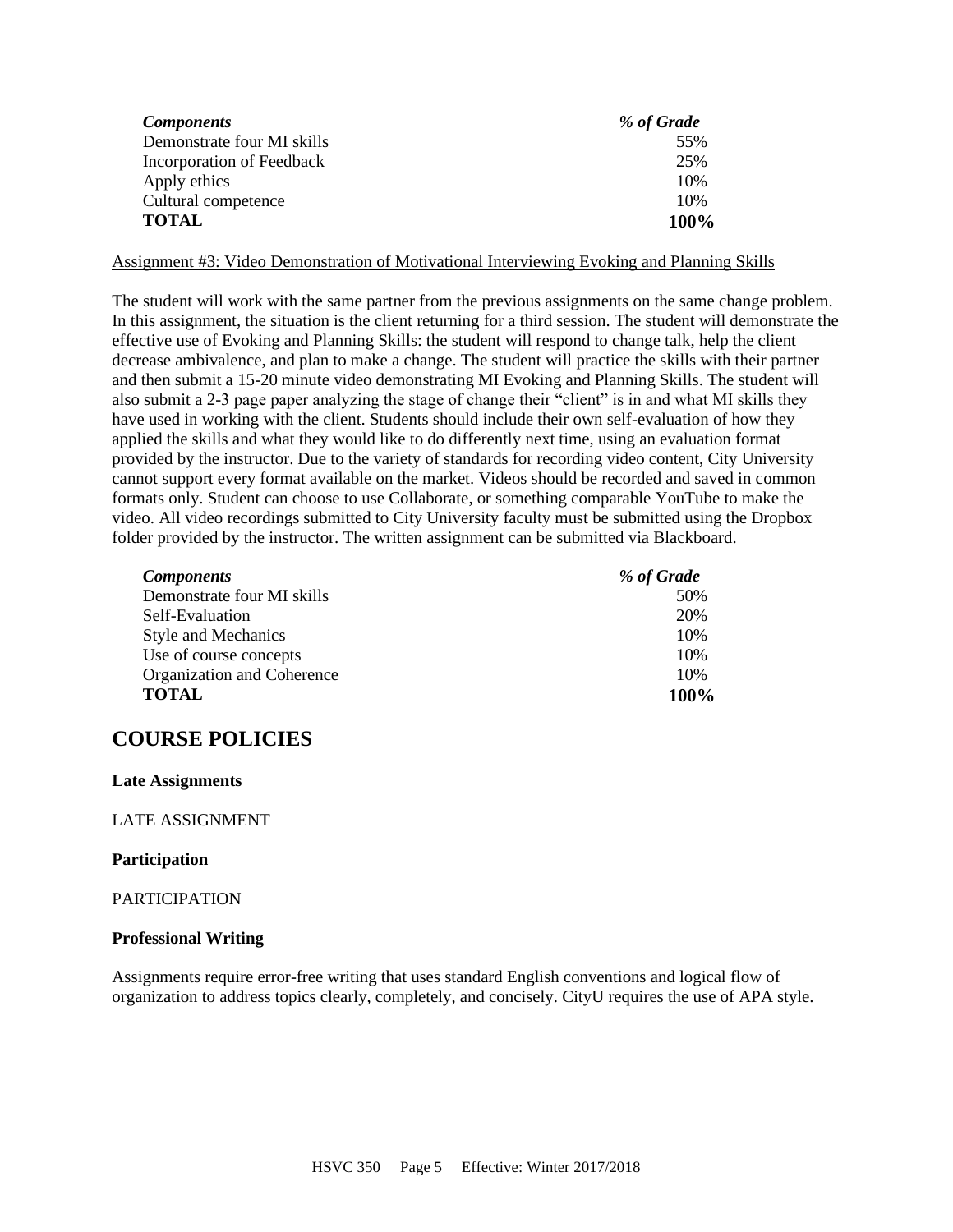| <i>Components</i>          | % of Grade |
|----------------------------|------------|
| Demonstrate four MI skills | 55%        |
| Incorporation of Feedback  | 25%        |
| Apply ethics               | 10%        |
| Cultural competence        | 10%        |
| <b>TOTAL</b>               | 100%       |

Assignment #3: Video Demonstration of Motivational Interviewing Evoking and Planning Skills

The student will work with the same partner from the previous assignments on the same change problem. In this assignment, the situation is the client returning for a third session. The student will demonstrate the effective use of Evoking and Planning Skills: the student will respond to change talk, help the client decrease ambivalence, and plan to make a change. The student will practice the skills with their partner and then submit a 15-20 minute video demonstrating MI Evoking and Planning Skills. The student will also submit a 2-3 page paper analyzing the stage of change their "client" is in and what MI skills they have used in working with the client. Students should include their own self-evaluation of how they applied the skills and what they would like to do differently next time, using an evaluation format provided by the instructor. Due to the variety of standards for recording video content, City University cannot support every format available on the market. Videos should be recorded and saved in common formats only. Student can choose to use Collaborate, or something comparable YouTube to make the video. All video recordings submitted to City University faculty must be submitted using the Dropbox folder provided by the instructor. The written assignment can be submitted via Blackboard.

| <b>Components</b>          | % of Grade |
|----------------------------|------------|
| Demonstrate four MI skills | 50%        |
| Self-Evaluation            | 20%        |
| <b>Style and Mechanics</b> | 10%        |
| Use of course concepts     | 10%        |
| Organization and Coherence | 10%        |
| <b>TOTAL</b>               | 100%       |

# **COURSE POLICIES**

#### **Late Assignments**

#### LATE ASSIGNMENT

#### **Participation**

#### PARTICIPATION

#### **Professional Writing**

Assignments require error-free writing that uses standard English conventions and logical flow of organization to address topics clearly, completely, and concisely. CityU requires the use of APA style.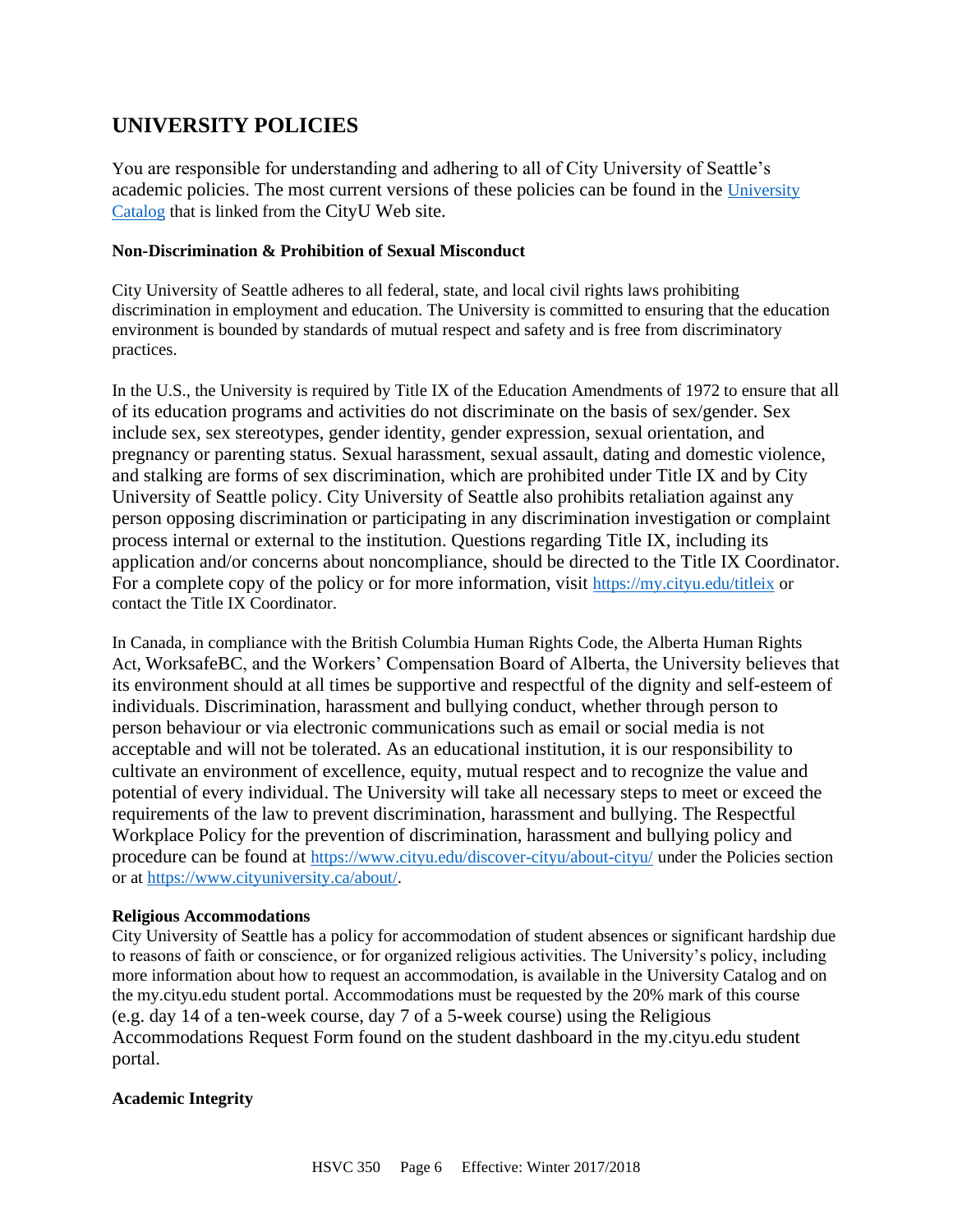# **UNIVERSITY POLICIES**

You are responsible for understanding and adhering to all of City University of Seattle's academic policies. The most current versions of these policies can be found in the [University](https://www.cityu.edu/catalog/)  [Catalog](https://www.cityu.edu/catalog/) that is linked from the CityU Web site.

#### **Non-Discrimination & Prohibition of Sexual Misconduct**

City University of Seattle adheres to all federal, state, and local civil rights laws prohibiting discrimination in employment and education. The University is committed to ensuring that the education environment is bounded by standards of mutual respect and safety and is free from discriminatory practices.

In the U.S., the University is required by Title IX of the Education Amendments of 1972 to ensure that all of its education programs and activities do not discriminate on the basis of sex/gender. Sex include sex, sex stereotypes, gender identity, gender expression, sexual orientation, and pregnancy or parenting status. Sexual harassment, sexual assault, dating and domestic violence, and stalking are forms of sex discrimination, which are prohibited under Title IX and by City University of Seattle policy. City University of Seattle also prohibits retaliation against any person opposing discrimination or participating in any discrimination investigation or complaint process internal or external to the institution. Questions regarding Title IX, including its application and/or concerns about noncompliance, should be directed to the Title IX Coordinator. For a complete copy of the policy or for more information, visit <https://my.cityu.edu/titleix> or contact the Title IX Coordinator.

In Canada, in compliance with the British Columbia Human Rights Code, the Alberta Human Rights Act, WorksafeBC, and the Workers' Compensation Board of Alberta, the University believes that its environment should at all times be supportive and respectful of the dignity and self-esteem of individuals. Discrimination, harassment and bullying conduct, whether through person to person behaviour or via electronic communications such as email or social media is not acceptable and will not be tolerated. As an educational institution, it is our responsibility to cultivate an environment of excellence, equity, mutual respect and to recognize the value and potential of every individual. The University will take all necessary steps to meet or exceed the requirements of the law to prevent discrimination, harassment and bullying. The Respectful Workplace Policy for the prevention of discrimination, harassment and bullying policy and procedure can be found at <https://www.cityu.edu/discover-cityu/about-cityu/> under the Policies section or at <https://www.cityuniversity.ca/about/>.

#### **Religious Accommodations**

City University of Seattle has a policy for accommodation of student absences or significant hardship due to reasons of faith or conscience, or for organized religious activities. The University's policy, including more information about how to request an accommodation, is available in the University Catalog and on the my.cityu.edu student portal. Accommodations must be requested by the 20% mark of this course (e.g. day 14 of a ten-week course, day 7 of a 5-week course) using the Religious Accommodations Request Form found on the student dashboard in the my.cityu.edu student portal.

#### **Academic Integrity**